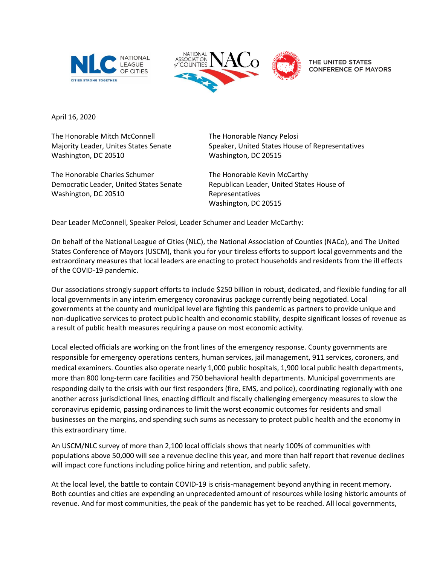



THE UNITED STATES **CONFERENCE OF MAYORS** 

April 16, 2020 

The Honorable Mitch McConnell  Majority Leader, Unites States Senate Washington, DC 20510

The Honorable Charles Schumer Democratic Leader, United States Senate Washington, DC 20510

The Honorable Nancy Pelosi Speaker, United States House of Representatives Washington, DC 20515

The Honorable Kevin McCarthy  Republican Leader, United States House of Representatives  Washington, DC 20515 

Dear Leader McConnell, Speaker Pelosi, Leader Schumer and Leader McCarthy:

On behalf of the National League of Cities (NLC), the National Association of Counties (NACo), and The United States Conference of Mayors (USCM), thank you for your tireless efforts to support local governments and the extraordinary measures that local leaders are enacting to protect households and residents from the ill effects of the COVID-19 pandemic.

Our associations strongly support efforts to include \$250 billion in robust, dedicated, and flexible funding for all local governments in any interim emergency coronavirus package currently being negotiated. Local governments at the county and municipal level are fighting this pandemic as partners to provide unique and non-duplicative services to protect public health and economic stability, despite significant losses of revenue as a result of public health measures requiring a pause on most economic activity.

Local elected officials are working on the front lines of the emergency response. County governments are responsible for emergency operations centers, human services, jail management, 911 services, coroners, and medical examiners. Counties also operate nearly 1,000 public hospitals, 1,900 local public health departments, more than 800 long-term care facilities and 750 behavioral health departments. Municipal governments are responding daily to the crisis with our first responders (fire, EMS, and police), coordinating regionally with one another across jurisdictional lines, enacting difficult and fiscally challenging emergency measures to slow the coronavirus epidemic, passing ordinances to limit the worst economic outcomes for residents and small businesses on the margins, and spending such sums as necessary to protect public health and the economy in this extraordinary time.

An USCM/NLC survey of more than 2,100 local officials shows that nearly 100% of communities with populations above 50,000 will see a revenue decline this year, and more than half report that revenue declines will impact core functions including police hiring and retention, and public safety.

At the local level, the battle to contain COVID-19 is crisis-management beyond anything in recent memory. Both counties and cities are expending an unprecedented amount of resources while losing historic amounts of revenue. And for most communities, the peak of the pandemic has yet to be reached. All local governments,